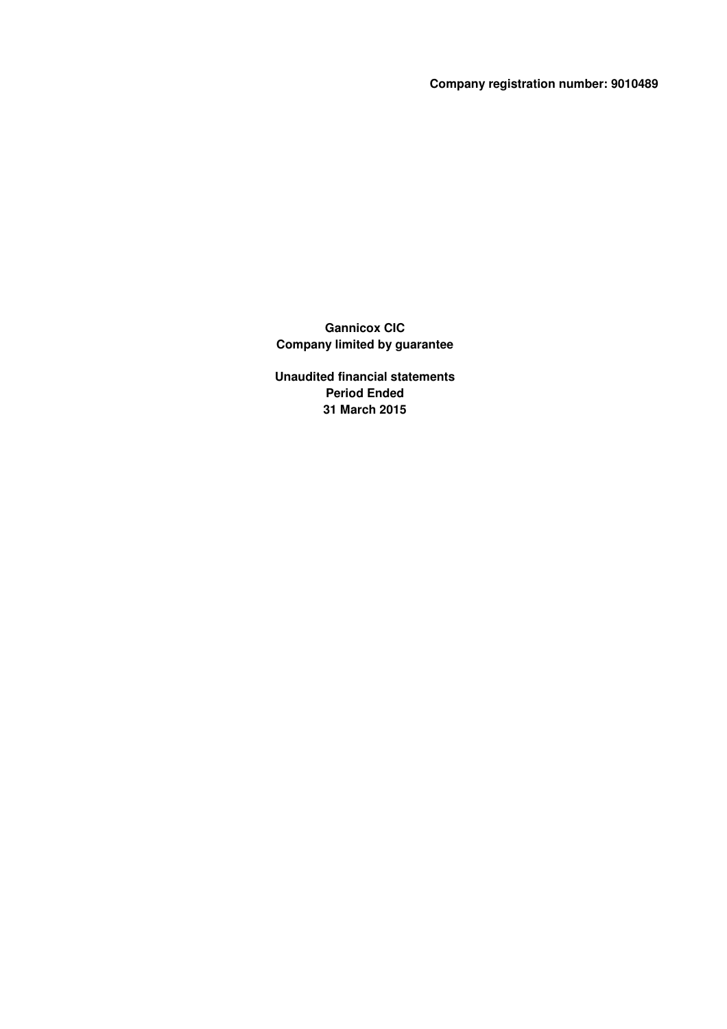**Company registration number: 9010489**

**Gannicox CIC Company limited by guarantee**

**Unaudited financial statements Period Ended 31 March 2015**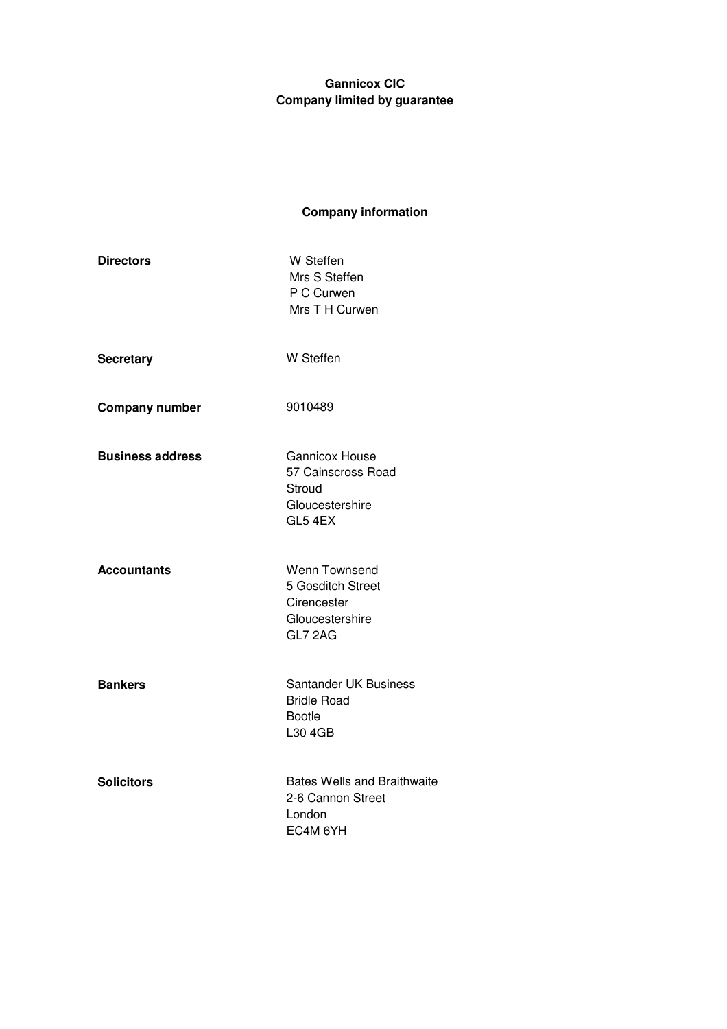# **Company information**

| <b>Directors</b>        | W Steffen<br>Mrs S Steffen<br>P C Curwen<br>Mrs T H Curwen                          |
|-------------------------|-------------------------------------------------------------------------------------|
| <b>Secretary</b>        | W Steffen                                                                           |
| <b>Company number</b>   | 9010489                                                                             |
| <b>Business address</b> | <b>Gannicox House</b><br>57 Cainscross Road<br>Stroud<br>Gloucestershire<br>GL5 4EX |
| <b>Accountants</b>      | Wenn Townsend<br>5 Gosditch Street<br>Cirencester<br>Gloucestershire<br>GL7 2AG     |
| <b>Bankers</b>          | Santander UK Business<br><b>Bridle Road</b><br><b>Bootle</b><br>L30 4GB             |
| <b>Solicitors</b>       | <b>Bates Wells and Braithwaite</b><br>2-6 Cannon Street<br>London<br>EC4M 6YH       |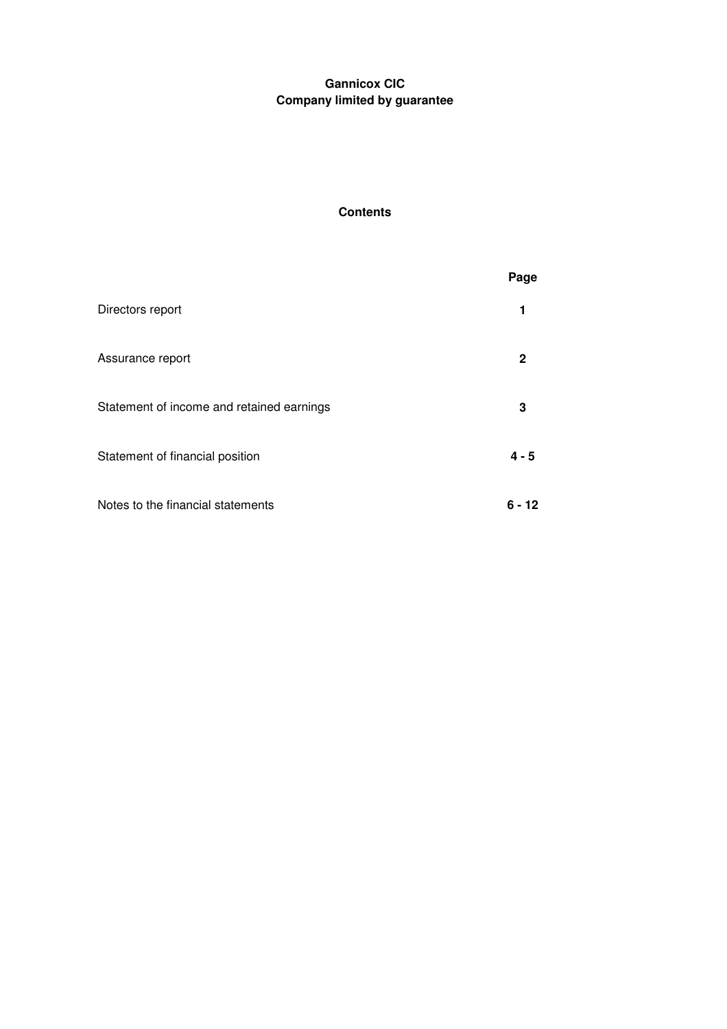# **Contents**

|                                           | Page    |
|-------------------------------------------|---------|
| Directors report                          | 1       |
| Assurance report                          | 2       |
| Statement of income and retained earnings | 3       |
| Statement of financial position           | $4 - 5$ |
| Notes to the financial statements         | 6 - 12  |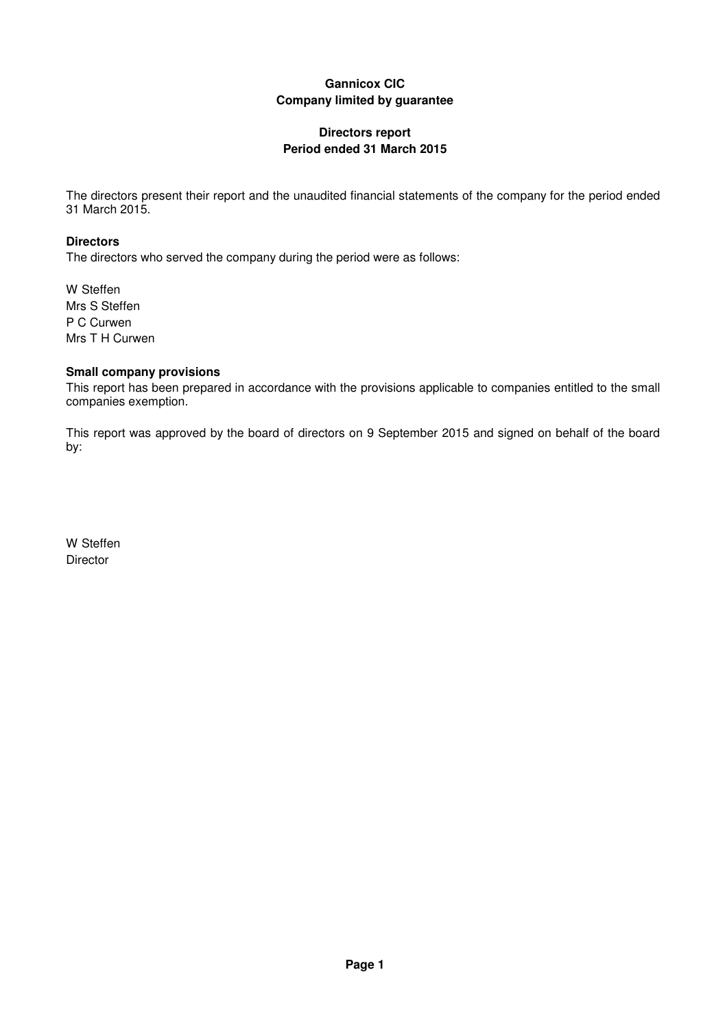## **Directors report Period ended 31 March 2015**

The directors present their report and the unaudited financial statements of the company for the period ended 31 March 2015.

## **Directors**

The directors who served the company during the period were as follows:

W Steffen Mrs S Steffen P C Curwen Mrs T H Curwen

## **Small company provisions**

This report has been prepared in accordance with the provisions applicable to companies entitled to the small companies exemption.

This report was approved by the board of directors on 9 September 2015 and signed on behalf of the board by:

W Steffen **Director**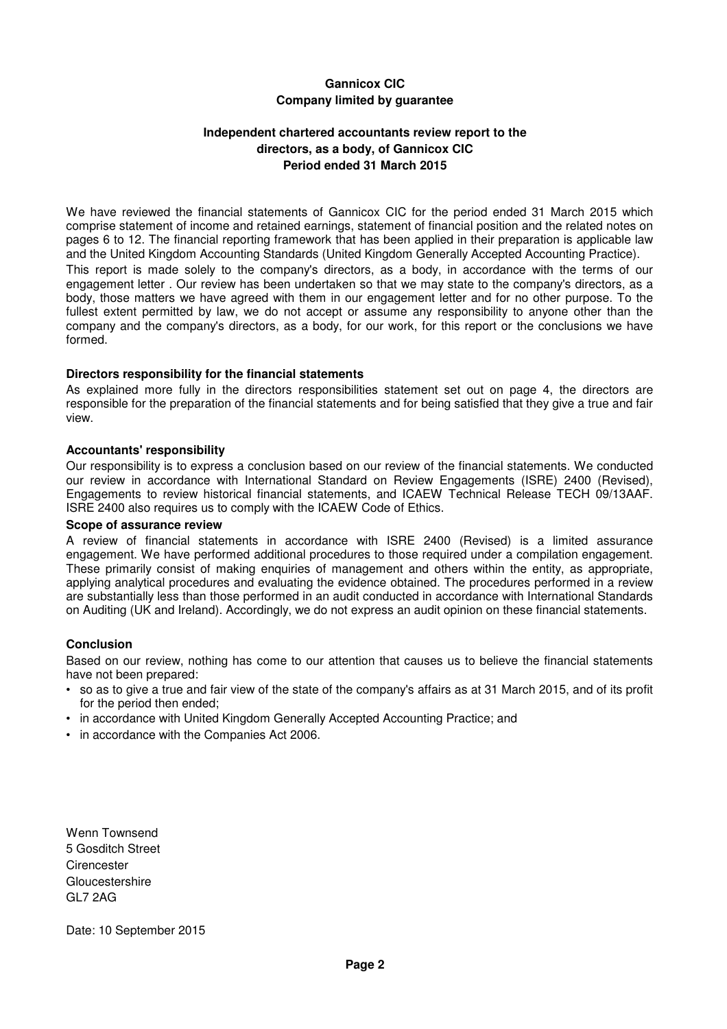## **Independent chartered accountants review report to the directors, as a body, of Gannicox CIC Period ended 31 March 2015**

We have reviewed the financial statements of Gannicox CIC for the period ended 31 March 2015 which comprise statement of income and retained earnings, statement of financial position and the related notes on pages 6 to 12. The financial reporting framework that has been applied in their preparation is applicable law and the United Kingdom Accounting Standards (United Kingdom Generally Accepted Accounting Practice). This report is made solely to the company's directors, as a body, in accordance with the terms of our engagement letter . Our review has been undertaken so that we may state to the company's directors, as a body, those matters we have agreed with them in our engagement letter and for no other purpose. To the fullest extent permitted by law, we do not accept or assume any responsibility to anyone other than the company and the company's directors, as a body, for our work, for this report or the conclusions we have formed.

### **Directors responsibility for the financial statements**

As explained more fully in the directors responsibilities statement set out on page 4, the directors are responsible for the preparation of the financial statements and for being satisfied that they give a true and fair view.

#### **Accountants' responsibility**

Our responsibility is to express a conclusion based on our review of the financial statements. We conducted our review in accordance with International Standard on Review Engagements (ISRE) 2400 (Revised), Engagements to review historical financial statements, and ICAEW Technical Release TECH 09/13AAF. ISRE 2400 also requires us to comply with the ICAEW Code of Ethics.

#### **Scope of assurance review**

A review of financial statements in accordance with ISRE 2400 (Revised) is a limited assurance engagement. We have performed additional procedures to those required under a compilation engagement. These primarily consist of making enquiries of management and others within the entity, as appropriate, applying analytical procedures and evaluating the evidence obtained. The procedures performed in a review are substantially less than those performed in an audit conducted in accordance with International Standards on Auditing (UK and Ireland). Accordingly, we do not express an audit opinion on these financial statements.

### **Conclusion**

Based on our review, nothing has come to our attention that causes us to believe the financial statements have not been prepared:

- so as to give a true and fair view of the state of the company's affairs as at 31 March 2015, and of its profit for the period then ended;
- in accordance with United Kingdom Generally Accepted Accounting Practice; and
- in accordance with the Companies Act 2006.

Wenn Townsend 5 Gosditch Street **Cirencester Gloucestershire** GL7 2AG

Date: 10 September 2015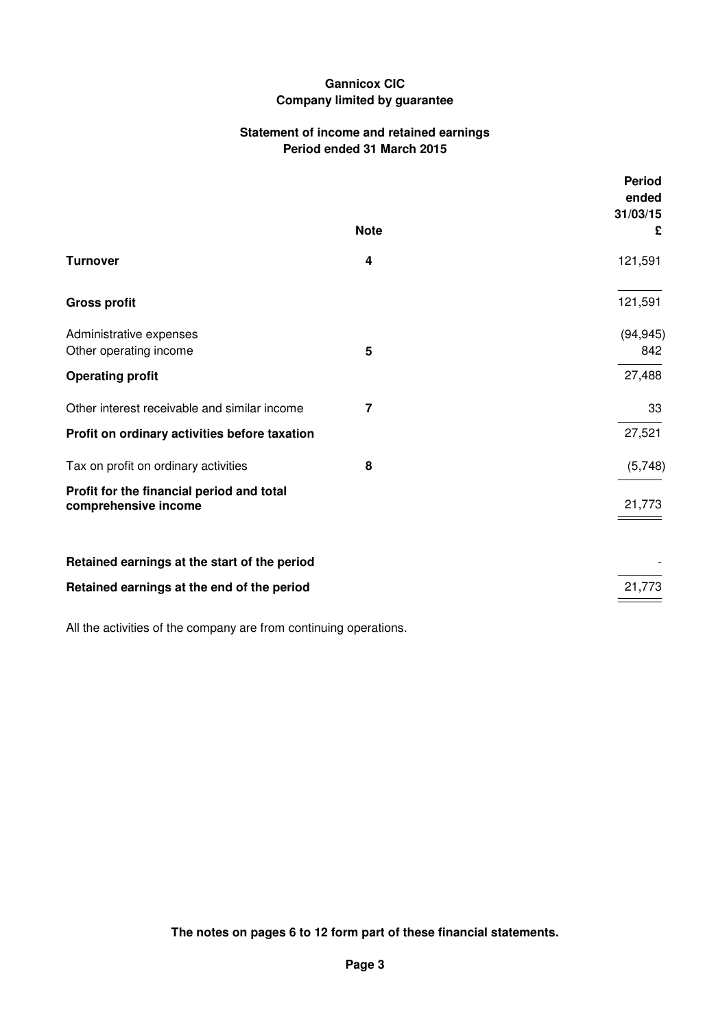## **Statement of income and retained earnings Period ended 31 March 2015**

|                                                                   |             | <b>Period</b><br>ended |
|-------------------------------------------------------------------|-------------|------------------------|
|                                                                   | <b>Note</b> | 31/03/15               |
|                                                                   |             | £                      |
| <b>Turnover</b>                                                   | 4           | 121,591                |
| <b>Gross profit</b>                                               |             | 121,591                |
| Administrative expenses                                           |             | (94, 945)              |
| Other operating income                                            | 5           | 842                    |
| <b>Operating profit</b>                                           |             | 27,488                 |
| Other interest receivable and similar income                      | 7           | 33                     |
| Profit on ordinary activities before taxation                     |             | 27,521                 |
| Tax on profit on ordinary activities                              | 8           | (5,748)                |
| Profit for the financial period and total<br>comprehensive income |             | 21,773                 |
| Retained earnings at the start of the period                      |             |                        |
| Retained earnings at the end of the period                        |             | 21,773                 |
|                                                                   |             |                        |

All the activities of the company are from continuing operations.

**The notes on pages 6 to 12 form part of these financial statements.**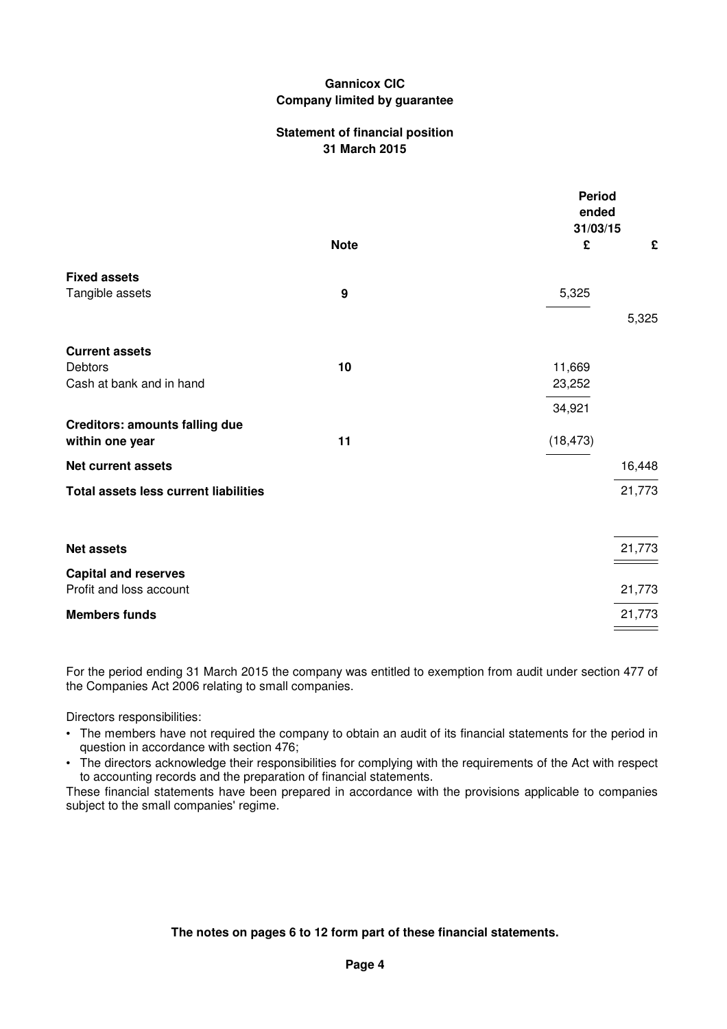### **Statement of financial position 31 March 2015**

|                                              |             | <b>Period</b><br>ended<br>31/03/15 |        |
|----------------------------------------------|-------------|------------------------------------|--------|
|                                              | <b>Note</b> | £                                  | £      |
| <b>Fixed assets</b>                          |             |                                    |        |
| Tangible assets                              | 9           | 5,325                              |        |
|                                              |             |                                    | 5,325  |
| <b>Current assets</b>                        |             |                                    |        |
| <b>Debtors</b>                               | 10          | 11,669                             |        |
| Cash at bank and in hand                     |             | 23,252                             |        |
|                                              |             | 34,921                             |        |
| <b>Creditors: amounts falling due</b>        |             |                                    |        |
| within one year                              | 11          | (18, 473)                          |        |
| <b>Net current assets</b>                    |             |                                    | 16,448 |
| <b>Total assets less current liabilities</b> |             |                                    | 21,773 |
|                                              |             |                                    |        |
| <b>Net assets</b>                            |             |                                    | 21,773 |
| <b>Capital and reserves</b>                  |             |                                    |        |
| Profit and loss account                      |             |                                    | 21,773 |
| <b>Members funds</b>                         |             |                                    | 21,773 |

For the period ending 31 March 2015 the company was entitled to exemption from audit under section 477 of the Companies Act 2006 relating to small companies.

Directors responsibilities:

- The members have not required the company to obtain an audit of its financial statements for the period in question in accordance with section 476;
- The directors acknowledge their responsibilities for complying with the requirements of the Act with respect to accounting records and the preparation of financial statements.

These financial statements have been prepared in accordance with the provisions applicable to companies subject to the small companies' regime.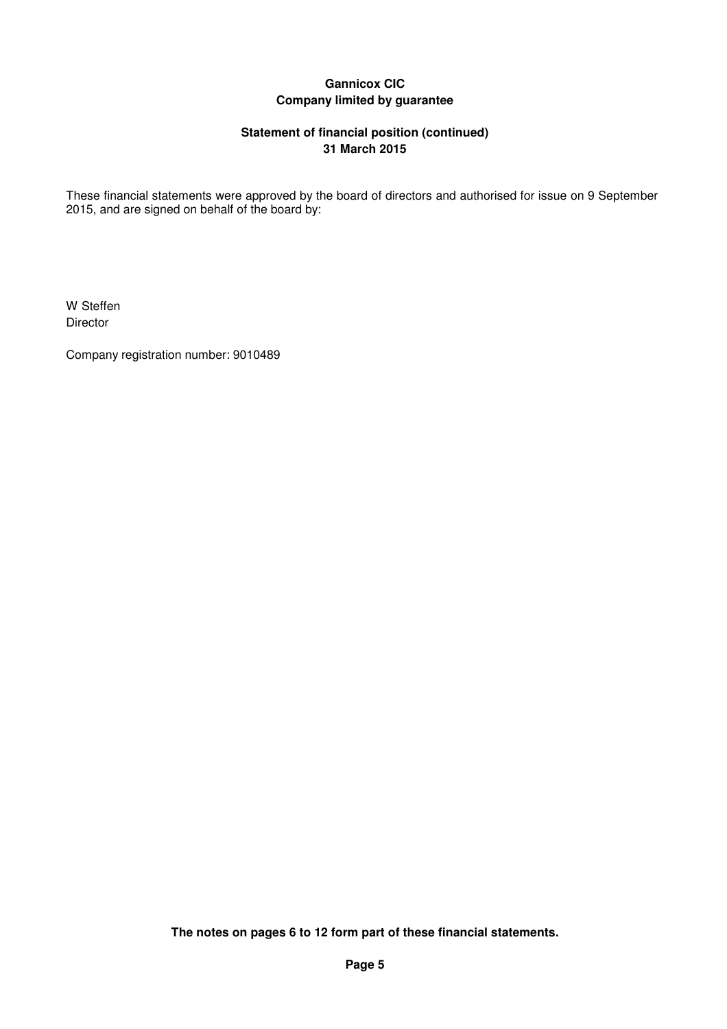## **Statement of financial position (continued) 31 March 2015**

These financial statements were approved by the board of directors and authorised for issue on 9 September 2015, and are signed on behalf of the board by:

W Steffen Director

Company registration number: 9010489

**The notes on pages 6 to 12 form part of these financial statements.**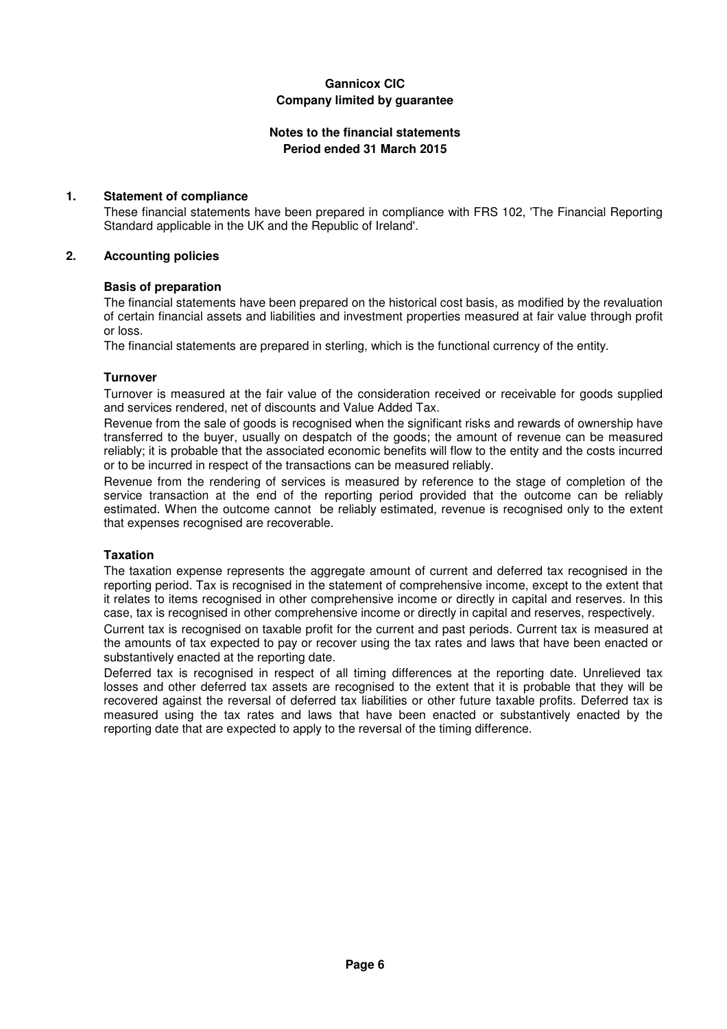## **Notes to the financial statements Period ended 31 March 2015**

## **1. Statement of compliance**

These financial statements have been prepared in compliance with FRS 102, 'The Financial Reporting Standard applicable in the UK and the Republic of Ireland'.

### **2. Accounting policies**

### **Basis of preparation**

The financial statements have been prepared on the historical cost basis, as modified by the revaluation of certain financial assets and liabilities and investment properties measured at fair value through profit or loss.

The financial statements are prepared in sterling, which is the functional currency of the entity.

## **Turnover**

Turnover is measured at the fair value of the consideration received or receivable for goods supplied and services rendered, net of discounts and Value Added Tax.

Revenue from the sale of goods is recognised when the significant risks and rewards of ownership have transferred to the buyer, usually on despatch of the goods; the amount of revenue can be measured reliably; it is probable that the associated economic benefits will flow to the entity and the costs incurred or to be incurred in respect of the transactions can be measured reliably.

Revenue from the rendering of services is measured by reference to the stage of completion of the service transaction at the end of the reporting period provided that the outcome can be reliably estimated. When the outcome cannot be reliably estimated, revenue is recognised only to the extent that expenses recognised are recoverable.

### **Taxation**

The taxation expense represents the aggregate amount of current and deferred tax recognised in the reporting period. Tax is recognised in the statement of comprehensive income, except to the extent that it relates to items recognised in other comprehensive income or directly in capital and reserves. In this case, tax is recognised in other comprehensive income or directly in capital and reserves, respectively.

Current tax is recognised on taxable profit for the current and past periods. Current tax is measured at the amounts of tax expected to pay or recover using the tax rates and laws that have been enacted or substantively enacted at the reporting date.

Deferred tax is recognised in respect of all timing differences at the reporting date. Unrelieved tax losses and other deferred tax assets are recognised to the extent that it is probable that they will be recovered against the reversal of deferred tax liabilities or other future taxable profits. Deferred tax is measured using the tax rates and laws that have been enacted or substantively enacted by the reporting date that are expected to apply to the reversal of the timing difference.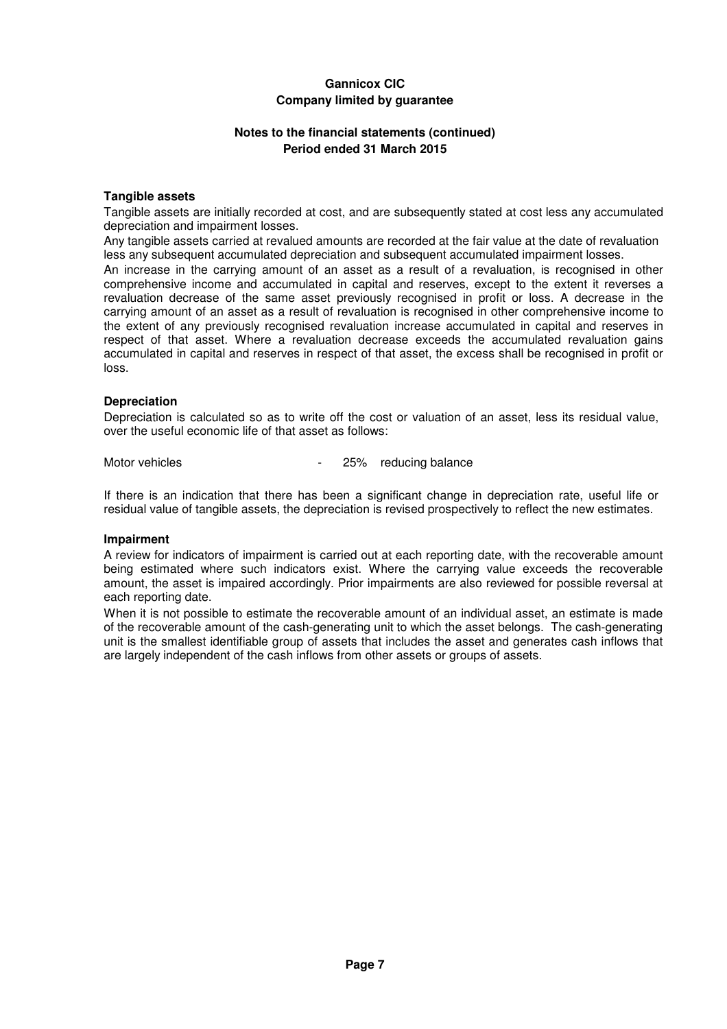## **Notes to the financial statements (continued) Period ended 31 March 2015**

### **Tangible assets**

Tangible assets are initially recorded at cost, and are subsequently stated at cost less any accumulated depreciation and impairment losses.

Any tangible assets carried at revalued amounts are recorded at the fair value at the date of revaluation less any subsequent accumulated depreciation and subsequent accumulated impairment losses.

An increase in the carrying amount of an asset as a result of a revaluation, is recognised in other comprehensive income and accumulated in capital and reserves, except to the extent it reverses a revaluation decrease of the same asset previously recognised in profit or loss. A decrease in the carrying amount of an asset as a result of revaluation is recognised in other comprehensive income to the extent of any previously recognised revaluation increase accumulated in capital and reserves in respect of that asset. Where a revaluation decrease exceeds the accumulated revaluation gains accumulated in capital and reserves in respect of that asset, the excess shall be recognised in profit or loss.

#### **Depreciation**

Depreciation is calculated so as to write off the cost or valuation of an asset, less its residual value, over the useful economic life of that asset as follows:

Motor vehicles **Accord 25%** reducing balance

If there is an indication that there has been a significant change in depreciation rate, useful life or residual value of tangible assets, the depreciation is revised prospectively to reflect the new estimates.

#### **Impairment**

A review for indicators of impairment is carried out at each reporting date, with the recoverable amount being estimated where such indicators exist. Where the carrying value exceeds the recoverable amount, the asset is impaired accordingly. Prior impairments are also reviewed for possible reversal at each reporting date.

When it is not possible to estimate the recoverable amount of an individual asset, an estimate is made of the recoverable amount of the cash-generating unit to which the asset belongs. The cash-generating unit is the smallest identifiable group of assets that includes the asset and generates cash inflows that are largely independent of the cash inflows from other assets or groups of assets.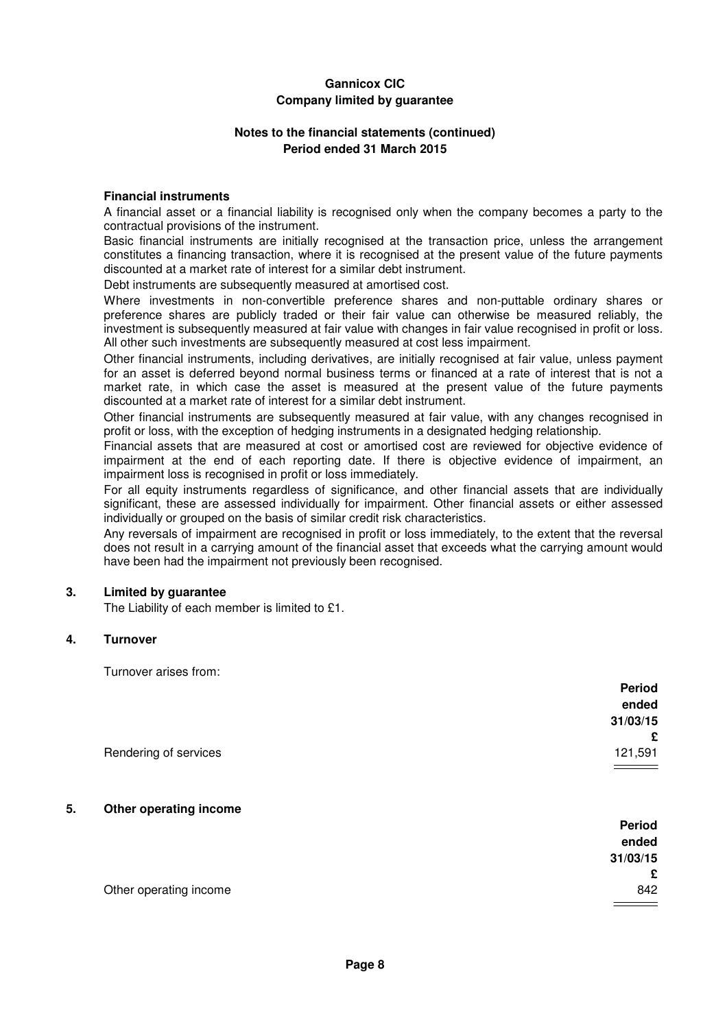### **Notes to the financial statements (continued) Period ended 31 March 2015**

#### **Financial instruments**

A financial asset or a financial liability is recognised only when the company becomes a party to the contractual provisions of the instrument.

Basic financial instruments are initially recognised at the transaction price, unless the arrangement constitutes a financing transaction, where it is recognised at the present value of the future payments discounted at a market rate of interest for a similar debt instrument.

Debt instruments are subsequently measured at amortised cost.

Where investments in non-convertible preference shares and non-puttable ordinary shares or preference shares are publicly traded or their fair value can otherwise be measured reliably, the investment is subsequently measured at fair value with changes in fair value recognised in profit or loss. All other such investments are subsequently measured at cost less impairment.

Other financial instruments, including derivatives, are initially recognised at fair value, unless payment for an asset is deferred beyond normal business terms or financed at a rate of interest that is not a market rate, in which case the asset is measured at the present value of the future payments discounted at a market rate of interest for a similar debt instrument.

Other financial instruments are subsequently measured at fair value, with any changes recognised in profit or loss, with the exception of hedging instruments in a designated hedging relationship.

Financial assets that are measured at cost or amortised cost are reviewed for objective evidence of impairment at the end of each reporting date. If there is objective evidence of impairment, an impairment loss is recognised in profit or loss immediately.

For all equity instruments regardless of significance, and other financial assets that are individually significant, these are assessed individually for impairment. Other financial assets or either assessed individually or grouped on the basis of similar credit risk characteristics.

Any reversals of impairment are recognised in profit or loss immediately, to the extent that the reversal does not result in a carrying amount of the financial asset that exceeds what the carrying amount would have been had the impairment not previously been recognised.

### **3. Limited by guarantee**

The Liability of each member is limited to £1.

#### **4. Turnover**

Turnover arises from:

|                       | <b>Period</b> |
|-----------------------|---------------|
|                       | ended         |
|                       | 31/03/15      |
|                       | £             |
| Rendering of services | 121,591       |

#### **5. Other operating income**

|                        | Period   |
|------------------------|----------|
|                        | ended    |
|                        | 31/03/15 |
|                        | £        |
| Other operating income | 842      |
|                        |          |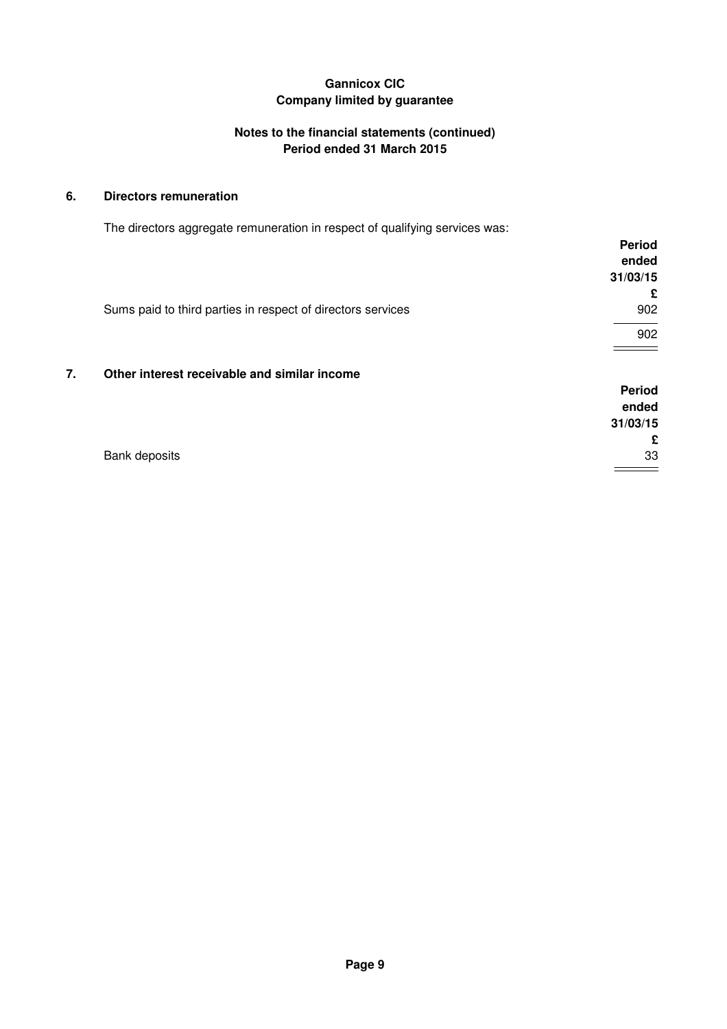## **Notes to the financial statements (continued) Period ended 31 March 2015**

## **6. Directors remuneration**

The directors aggregate remuneration in respect of qualifying services was:

|    |                                                             | <b>Period</b> |
|----|-------------------------------------------------------------|---------------|
|    |                                                             | ended         |
|    |                                                             | 31/03/15      |
|    |                                                             | £             |
|    | Sums paid to third parties in respect of directors services | 902           |
|    |                                                             | 902           |
|    |                                                             |               |
| 7. | Other interest receivable and similar income                |               |

## **Period ended 31/03/15 £** Bank deposits 33

 $\qquad \qquad =\qquad$ 

**Page 9**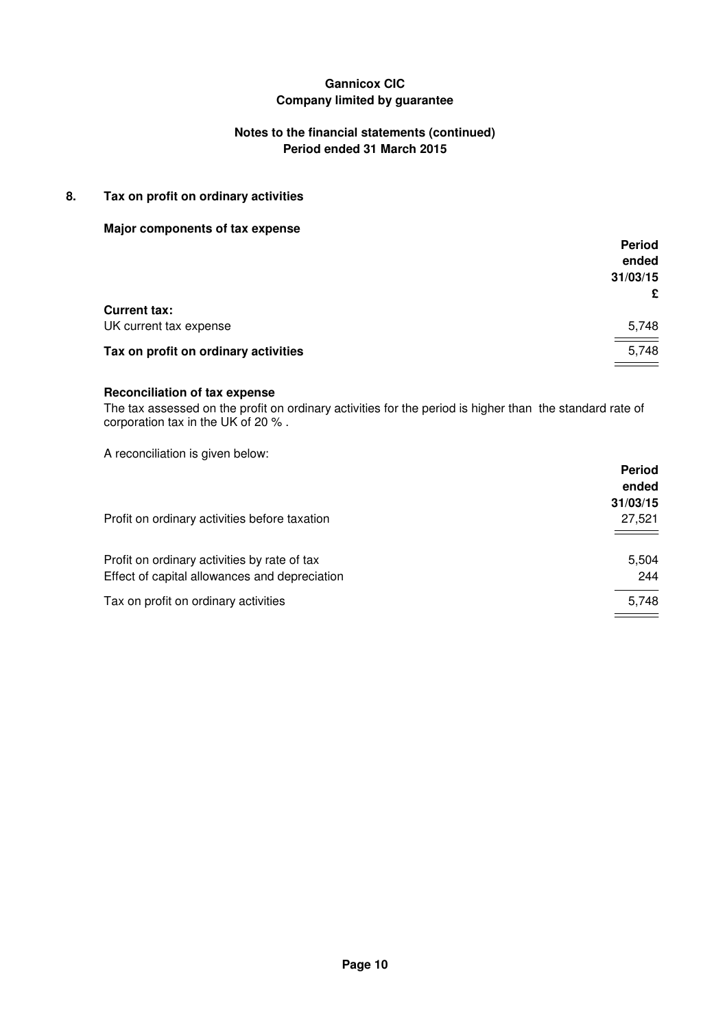## **Notes to the financial statements (continued) Period ended 31 March 2015**

## **8. Tax on profit on ordinary activities**

### **Major components of tax expense**

|                                      | <b>Period</b> |
|--------------------------------------|---------------|
|                                      | ended         |
|                                      | 31/03/15      |
|                                      | £             |
| <b>Current tax:</b>                  |               |
| UK current tax expense               | 5,748         |
| Tax on profit on ordinary activities | 5,748         |
|                                      |               |

#### **Reconciliation of tax expense**

The tax assessed on the profit on ordinary activities for the period is higher than the standard rate of corporation tax in the UK of 20 % .

A reconciliation is given below:

|                                                                                               | <b>Period</b><br>ended<br>31/03/15 |
|-----------------------------------------------------------------------------------------------|------------------------------------|
| Profit on ordinary activities before taxation                                                 | 27,521                             |
| Profit on ordinary activities by rate of tax<br>Effect of capital allowances and depreciation | 5,504<br>244                       |
| Tax on profit on ordinary activities                                                          | 5,748                              |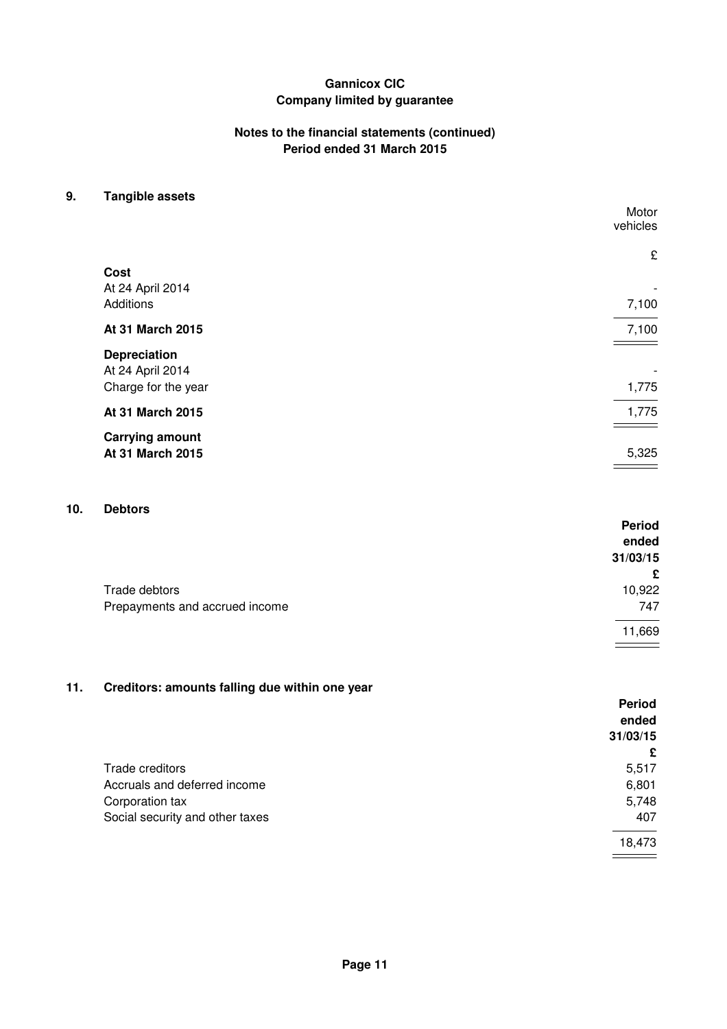## **Notes to the financial statements (continued) Period ended 31 March 2015**

## **9. Tangible assets**

|                        | Motor<br>vehicles |
|------------------------|-------------------|
|                        | £                 |
| Cost                   |                   |
| At 24 April 2014       |                   |
| Additions              | 7,100             |
| At 31 March 2015       | 7,100             |
| <b>Depreciation</b>    |                   |
| At 24 April 2014       |                   |
| Charge for the year    | 1,775             |
| At 31 March 2015       | 1,775             |
| <b>Carrying amount</b> |                   |
| At 31 March 2015       | 5,325             |
|                        |                   |

# **10. Debtors**

| ------                         | <b>Period</b><br>ended |
|--------------------------------|------------------------|
|                                | 31/03/15               |
|                                | £                      |
| Trade debtors                  | 10,922                 |
| Prepayments and accrued income | 747                    |
|                                | 11,669                 |

## **11. Creditors: amounts falling due within one year**

|                                 | <b>Period</b> |
|---------------------------------|---------------|
|                                 | ended         |
|                                 | 31/03/15      |
|                                 | £             |
| Trade creditors                 | 5,517         |
| Accruals and deferred income    | 6,801         |
| Corporation tax                 | 5,748         |
| Social security and other taxes | 407           |
|                                 | 18,473        |
|                                 |               |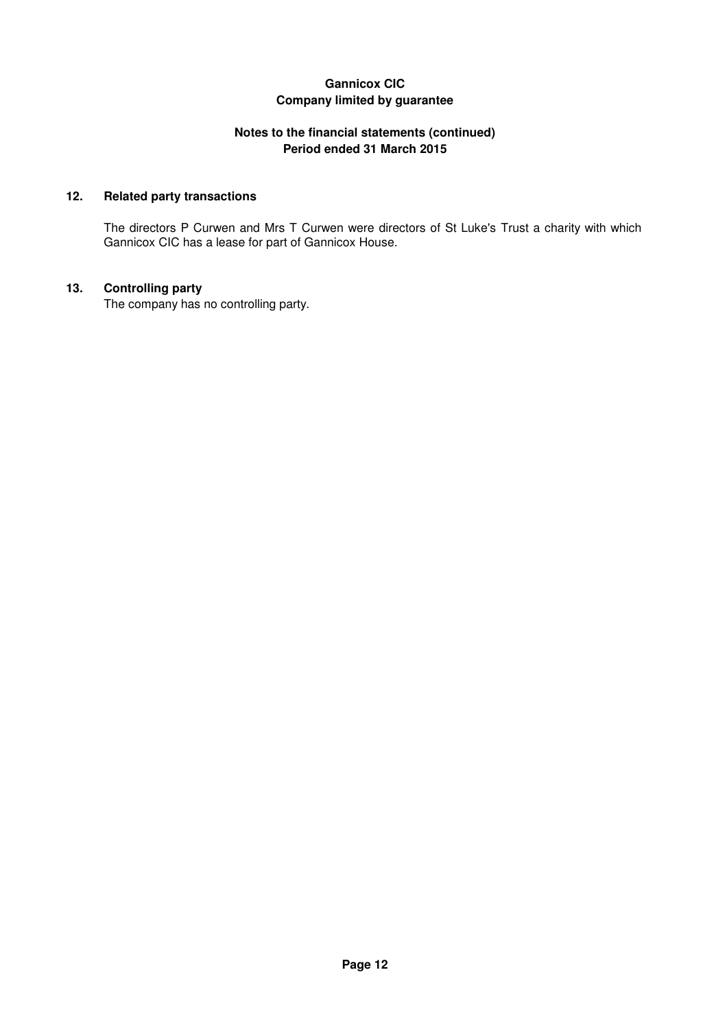## **Notes to the financial statements (continued) Period ended 31 March 2015**

## **12. Related party transactions**

The directors P Curwen and Mrs T Curwen were directors of St Luke's Trust a charity with which Gannicox CIC has a lease for part of Gannicox House.

## **13. Controlling party**

The company has no controlling party.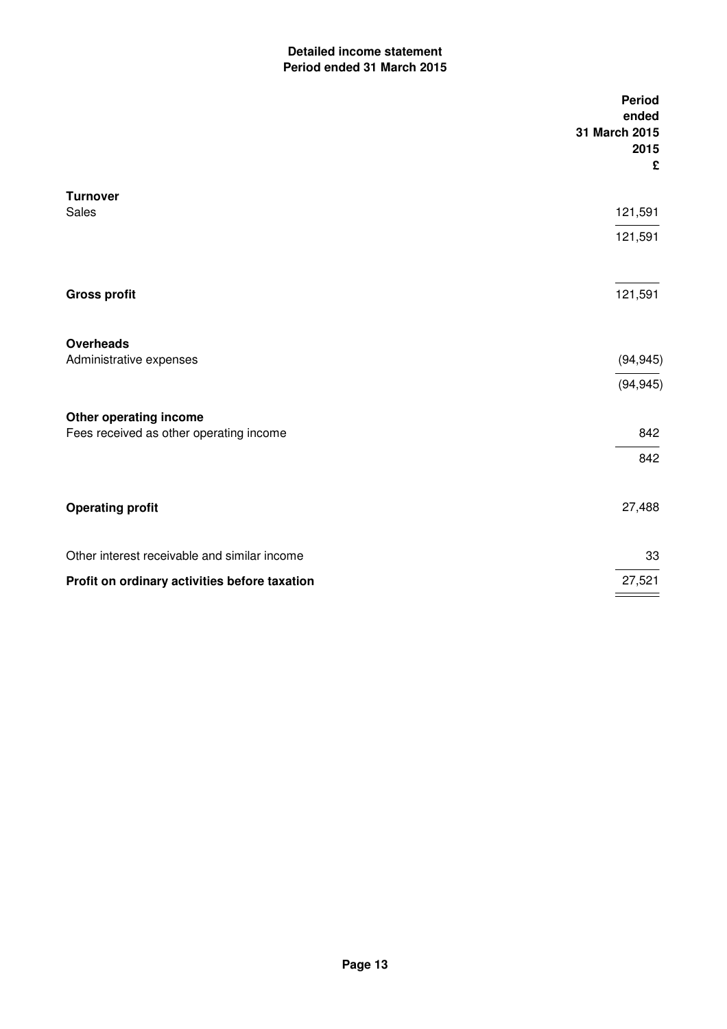## **Detailed income statement Period ended 31 March 2015**

|                                               | <b>Period</b><br>ended<br>31 March 2015<br>2015<br>£ |
|-----------------------------------------------|------------------------------------------------------|
| <b>Turnover</b>                               |                                                      |
| Sales                                         | 121,591                                              |
|                                               | 121,591                                              |
| <b>Gross profit</b>                           | 121,591                                              |
| <b>Overheads</b>                              |                                                      |
| Administrative expenses                       | (94, 945)                                            |
|                                               | (94, 945)                                            |
| Other operating income                        |                                                      |
| Fees received as other operating income       | 842                                                  |
|                                               | 842                                                  |
| <b>Operating profit</b>                       | 27,488                                               |
| Other interest receivable and similar income  | 33                                                   |
| Profit on ordinary activities before taxation | 27,521                                               |